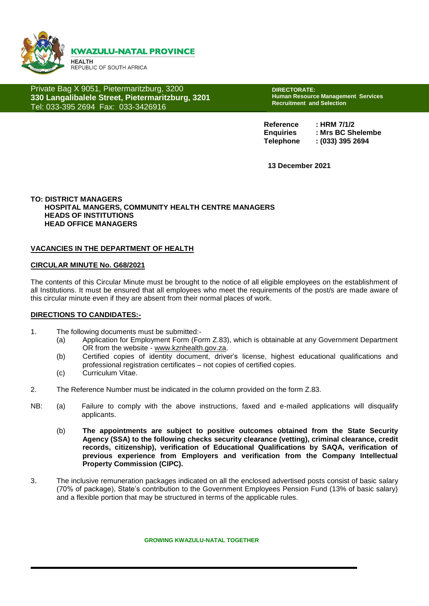

Private Bag X 9051, Pietermaritzburg, 3200 **330 Langalibalele Street, Pietermaritzburg, 3201** Tel: 033-395 2694 Fax: 033-3426916

**DIRECTORATE: Human Resource Management Services Recruitment and Selection** 

**Reference : HRM 7/1/2 Enquiries : Mrs BC Shelembe Telephone : (033) 395 2694**

**13 December 2021**

#### **TO: DISTRICT MANAGERS HOSPITAL MANGERS, COMMUNITY HEALTH CENTRE MANAGERS HEADS OF INSTITUTIONS HEAD OFFICE MANAGERS**

#### **VACANCIES IN THE DEPARTMENT OF HEALTH**

#### **CIRCULAR MINUTE No. G68/2021**

The contents of this Circular Minute must be brought to the notice of all eligible employees on the establishment of all Institutions. It must be ensured that all employees who meet the requirements of the post/s are made aware of this circular minute even if they are absent from their normal places of work.

#### **DIRECTIONS TO CANDIDATES:-**

- 1. The following documents must be submitted:-
	- (a) Application for Employment Form (Form Z.83), which is obtainable at any Government Department OR from the website - [www.kznhealth.gov.za.](http://www.kznhealth.gov.za/)
	- (b) Certified copies of identity document, driver's license, highest educational qualifications and professional registration certificates – not copies of certified copies.
	- (c) Curriculum Vitae.
- 2. The Reference Number must be indicated in the column provided on the form Z.83.
- NB: (a) Failure to comply with the above instructions, faxed and e-mailed applications will disqualify applicants.
	- (b) **The appointments are subject to positive outcomes obtained from the State Security Agency (SSA) to the following checks security clearance (vetting), criminal clearance, credit records, citizenship), verification of Educational Qualifications by SAQA, verification of previous experience from Employers and verification from the Company Intellectual Property Commission (CIPC).**
- 3. The inclusive remuneration packages indicated on all the enclosed advertised posts consist of basic salary (70% of package), State's contribution to the Government Employees Pension Fund (13% of basic salary) and a flexible portion that may be structured in terms of the applicable rules.

**GROWING KWAZULU-NATAL TOGETHER**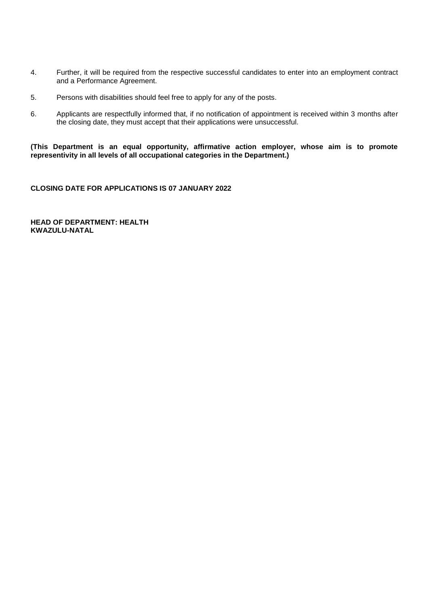- 4. Further, it will be required from the respective successful candidates to enter into an employment contract and a Performance Agreement.
- 5. Persons with disabilities should feel free to apply for any of the posts.
- 6. Applicants are respectfully informed that, if no notification of appointment is received within 3 months after the closing date, they must accept that their applications were unsuccessful.

**(This Department is an equal opportunity, affirmative action employer, whose aim is to promote representivity in all levels of all occupational categories in the Department.)**

**CLOSING DATE FOR APPLICATIONS IS 07 JANUARY 2022**

**HEAD OF DEPARTMENT: HEALTH KWAZULU-NATAL**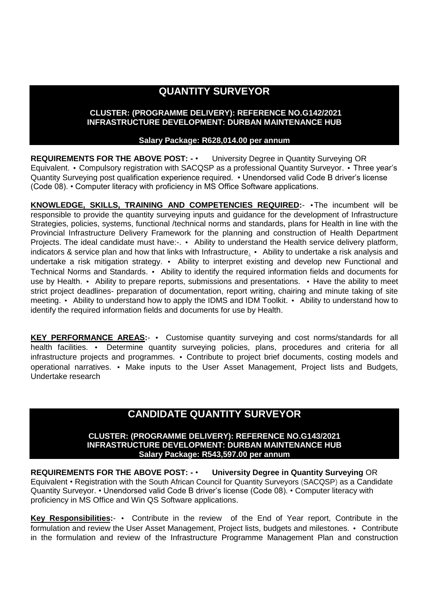# **QUANTITY SURVEYOR**

## **CLUSTER: (PROGRAMME DELIVERY): REFERENCE NO.G142/2021 INFRASTRUCTURE DEVELOPMENT: DURBAN MAINTENANCE HUB**

### **Salary Package: R628,014.00 per annum**

**REQUIREMENTS FOR THE ABOVE POST: -** • University Degree in Quantity Surveying OR Equivalent. • Compulsory registration with SACQSP as a professional Quantity Surveyor. • Three year's Quantity Surveying post qualification experience required. • Unendorsed valid Code B driver's license (Code 08). • Computer literacy with proficiency in MS Office Software applications.

**KNOWLEDGE, SKILLS, TRAINING AND COMPETENCIES REQUIRED:**- •The incumbent will be responsible to provide the quantity surveying inputs and guidance for the development of Infrastructure Strategies, policies, systems, functional /technical norms and standards, plans for Health in line with the Provincial Infrastructure Delivery Framework for the planning and construction of Health Department Projects. The ideal candidate must have:-. • Ability to understand the Health service delivery platform, indicators & service plan and how that links with Infrastructure. • Ability to undertake a risk analysis and undertake a risk mitigation strategy. • Ability to interpret existing and develop new Functional and Technical Norms and Standards. • Ability to identify the required information fields and documents for use by Health. • Ability to prepare reports, submissions and presentations. • Have the ability to meet strict project deadlines- preparation of documentation, report writing, chairing and minute taking of site meeting. • Ability to understand how to apply the IDMS and IDM Toolkit. • Ability to understand how to identify the required information fields and documents for use by Health.

**KEY PERFORMANCE AREAS:**- • Customise quantity surveying and cost norms/standards for all health facilities. • Determine quantity surveying policies, plans, procedures and criteria for all infrastructure projects and programmes. • Contribute to project brief documents, costing models and operational narratives. • Make inputs to the User Asset Management, Project lists and Budgets, Undertake research

## **CANDIDATE QUANTITY SURVEYOR**

#### **CLUSTER: (PROGRAMME DELIVERY): REFERENCE NO.G143/2021 INFRASTRUCTURE DEVELOPMENT: DURBAN MAINTENANCE HUB Salary Package: R543,597.00 per annum**

**REQUIREMENTS FOR THE ABOVE POST: -** • **University Degree in Quantity Surveying** OR Equivalent • Registration with the South African Council for Quantity Surveyors (SACQSP) as a Candidate Quantity Surveyor. • Unendorsed valid Code B driver's license (Code 08). • Computer literacy with proficiency in MS Office and Win QS Software applications.

**Key Responsibilities:**- • Contribute in the review of the End of Year report, Contribute in the formulation and review the User Asset Management, Project lists, budgets and milestones. • Contribute in the formulation and review of the Infrastructure Programme Management Plan and construction